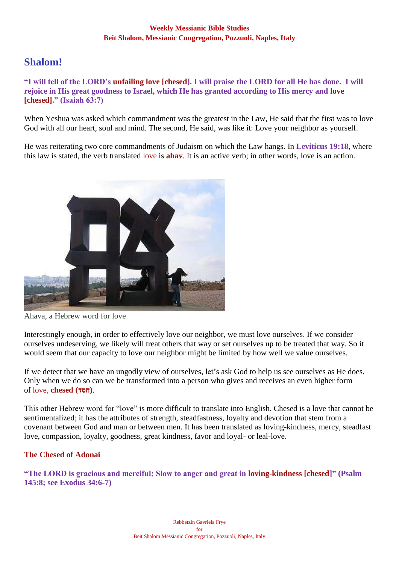# **Shalom!**

**"I will tell of the LORD's unfailing love [chesed]. I will praise the LORD for all He has done. I will rejoice in His great goodness to Israel, which He has granted according to His mercy and love [chesed]." (Isaiah 63:7)**

When Yeshua was asked which commandment was the greatest in the Law, He said that the first was to love God with all our heart, soul and mind. The second, He said, was like it: Love your neighbor as yourself.

He was reiterating two core commandments of Judaism on which the Law hangs. In **Leviticus 19:18**, where this law is stated, the verb translated love is **ahav**. It is an active verb; in other words, love is an action.



Ahava, a Hebrew word for love

Interestingly enough, in order to effectively love our neighbor, we must love ourselves. If we consider ourselves undeserving, we likely will treat others that way or set ourselves up to be treated that way. So it would seem that our capacity to love our neighbor might be limited by how well we value ourselves.

If we detect that we have an ungodly view of ourselves, let's ask God to help us see ourselves as He does. Only when we do so can we be transformed into a person who gives and receives an even higher form of love, **chesed (חסד(**.

This other Hebrew word for "love" is more difficult to translate into English. Chesed is a love that cannot be sentimentalized; it has the attributes of strength, steadfastness, loyalty and devotion that stem from a covenant between God and man or between men. It has been translated as loving-kindness, mercy, steadfast love, compassion, loyalty, goodness, great kindness, favor and loyal- or leal-love.

## **The Chesed of Adonai**

**"The LORD is gracious and merciful; Slow to anger and great in loving-kindness [chesed]" (Psalm 145:8; see Exodus 34:6-7)**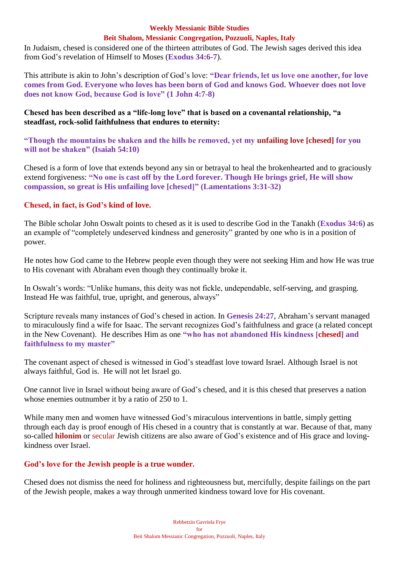In Judaism, chesed is considered one of the thirteen attributes of God. The Jewish sages derived this idea from God's revelation of Himself to Moses (**Exodus 34:6-7**).

This attribute is akin to John's description of God's love: **"Dear friends, let us love one another, for love comes from God. Everyone who loves has been born of God and knows God. Whoever does not love does not know God, because God is love" (1 John 4:7-8)**

### **Chesed has been described as a "life-long love" that is based on a covenantal relationship, "a steadfast, rock-solid faithfulness that endures to eternity:**

**"Though the mountains be shaken and the hills be removed, yet my unfailing love [chesed] for you will not be shaken" (Isaiah 54:10)**

Chesed is a form of love that extends beyond any sin or betrayal to heal the brokenhearted and to graciously extend forgiveness: **"No one is cast off by the Lord forever. Though He brings grief, He will show compassion, so great is His unfailing love [chesed]" (Lamentations 3:31-32)**

## **Chesed, in fact, is God's kind of love.**

The Bible scholar John Oswalt points to chesed as it is used to describe God in the Tanakh (**Exodus 34:6**) as an example of "completely undeserved kindness and generosity" granted by one who is in a position of power.

He notes how God came to the Hebrew people even though they were not seeking Him and how He was true to His covenant with Abraham even though they continually broke it.

In Oswalt's words: "Unlike humans, this deity was not fickle, undependable, self-serving, and grasping. Instead He was faithful, true, upright, and generous, always"

Scripture reveals many instances of God's chesed in action. In **Genesis 24:27**, Abraham's servant managed to miraculously find a wife for Isaac. The servant recognizes God's faithfulness and grace (a related concept in the New Covenant). He describes Him as one **"who has not abandoned His kindness [chesed] and faithfulness to my master"**

The covenant aspect of chesed is witnessed in God's steadfast love toward Israel. Although Israel is not always faithful, God is. He will not let Israel go.

One cannot live in Israel without being aware of God's chesed, and it is this chesed that preserves a nation whose enemies outnumber it by a ratio of 250 to 1.

While many men and women have witnessed God's miraculous interventions in battle, simply getting through each day is proof enough of His chesed in a country that is constantly at war. Because of that, many so-called **hilonim** or secular Jewish citizens are also aware of God's existence and of His grace and lovingkindness over Israel.

## **God's love for the Jewish people is a true wonder.**

Chesed does not dismiss the need for holiness and righteousness but, mercifully, despite failings on the part of the Jewish people, makes a way through unmerited kindness toward love for His covenant.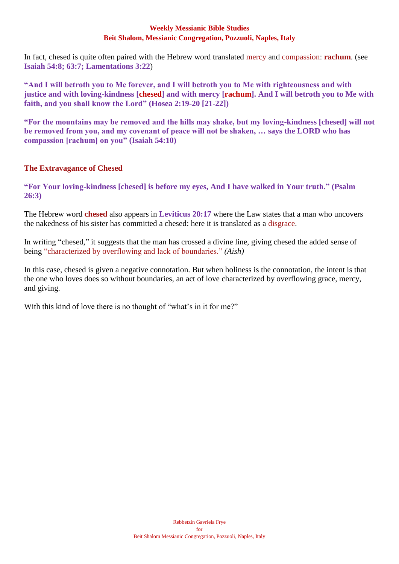In fact, chesed is quite often paired with the Hebrew word translated mercy and compassion: **rachum**. (see **Isaiah 54:8; 63:7; Lamentations 3:22**)

**"And I will betroth you to Me forever, and I will betroth you to Me with righteousness and with justice and with loving-kindness [chesed] and with mercy [rachum]. And I will betroth you to Me with faith, and you shall know the Lord" (Hosea 2:19-20 [21-22])**

**"For the mountains may be removed and the hills may shake, but my loving-kindness [chesed] will not be removed from you, and my covenant of peace will not be shaken, … says the LORD who has compassion [rachum] on you" (Isaiah 54:10)**

## **The Extravagance of Chesed**

**"For Your loving-kindness [chesed] is before my eyes, And I have walked in Your truth." (Psalm 26:3)**

The Hebrew word **chesed** also appears in **Leviticus 20:17** where the Law states that a man who uncovers the nakedness of his sister has committed a chesed: here it is translated as a disgrace.

In writing "chesed," it suggests that the man has crossed a divine line, giving chesed the added sense of being "characterized by overflowing and lack of boundaries." *(Aish)*

In this case, chesed is given a negative connotation. But when holiness is the connotation, the intent is that the one who loves does so without boundaries, an act of love characterized by overflowing grace, mercy, and giving.

With this kind of love there is no thought of "what's in it for me?"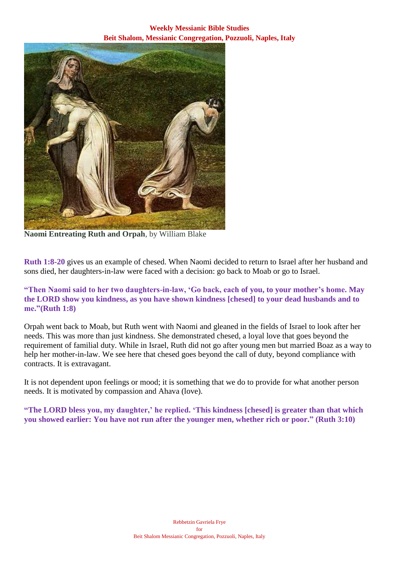**Weekly Messianic Bible Studies Beit Shalom, Messianic Congregation, Pozzuoli, Naples, Italy**



**Naomi Entreating Ruth and Orpah**, by William Blake

**Ruth 1:8-20** gives us an example of chesed. When Naomi decided to return to Israel after her husband and sons died, her daughters-in-law were faced with a decision: go back to Moab or go to Israel.

### **"Then Naomi said to her two daughters-in-law, 'Go back, each of you, to your mother's home. May the LORD show you kindness, as you have shown kindness [chesed] to your dead husbands and to me."(Ruth 1:8)**

Orpah went back to Moab, but Ruth went with Naomi and gleaned in the fields of Israel to look after her needs. This was more than just kindness. She demonstrated chesed, a loyal love that goes beyond the requirement of familial duty. While in Israel, Ruth did not go after young men but married Boaz as a way to help her mother-in-law. We see here that chesed goes beyond the call of duty, beyond compliance with contracts. It is extravagant.

It is not dependent upon feelings or mood; it is something that we do to provide for what another person needs. It is motivated by compassion and Ahava (love).

**"The LORD bless you, my daughter,' he replied. 'This kindness [chesed] is greater than that which you showed earlier: You have not run after the younger men, whether rich or poor." (Ruth 3:10)**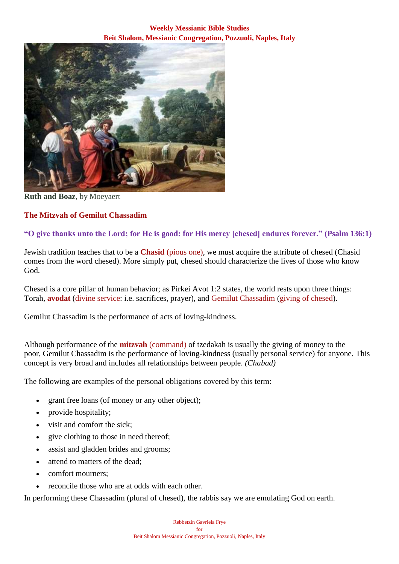**Weekly Messianic Bible Studies Beit Shalom, Messianic Congregation, Pozzuoli, Naples, Italy**



**Ruth and Boaz**, by Moeyaert

## **The Mitzvah of Gemilut Chassadim**

## **"O give thanks unto the Lord; for He is good: for His mercy [chesed] endures forever." (Psalm 136:1)**

Jewish tradition teaches that to be a **Chasid** (pious one), we must acquire the attribute of chesed (Chasid comes from the word chesed). More simply put, chesed should characterize the lives of those who know God.

Chesed is a core pillar of human behavior; as Pirkei Avot 1:2 states, the world rests upon three things: Torah, **avodat** (divine service: i.e. sacrifices, prayer), and Gemilut Chassadim (giving of chesed).

Gemilut Chassadim is the performance of acts of loving-kindness.

Although performance of the **mitzvah** (command) of tzedakah is usually the giving of money to the poor, Gemilut Chassadim is the performance of loving-kindness (usually personal service) for anyone. This concept is very broad and includes all relationships between people. *(Chabad)*

The following are examples of the personal obligations covered by this term:

- grant free loans (of money or any other object);
- provide hospitality;
- visit and comfort the sick;
- give clothing to those in need thereof;
- assist and gladden brides and grooms;
- attend to matters of the dead;
- comfort mourners;
- reconcile those who are at odds with each other.

In performing these Chassadim (plural of chesed), the rabbis say we are emulating God on earth.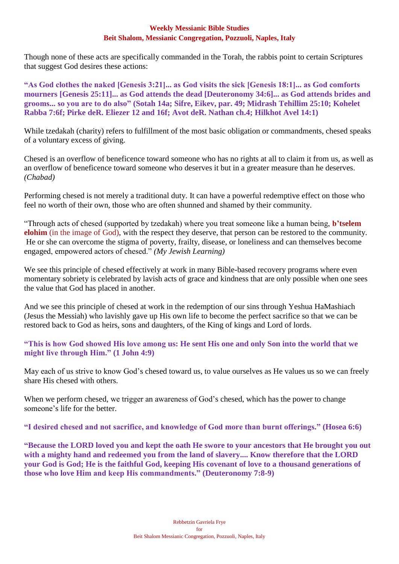Though none of these acts are specifically commanded in the Torah, the rabbis point to certain Scriptures that suggest God desires these actions:

**"As God clothes the naked [Genesis 3:21]... as God visits the sick [Genesis 18:1]... as God comforts mourners [Genesis 25:11]... as God attends the dead [Deuteronomy 34:6]... as God attends brides and grooms... so you are to do also" (Sotah 14a; Sifre, Eikev, par. 49; Midrash Tehillim 25:10; Kohelet Rabba 7:6f; Pirke deR. Eliezer 12 and 16f; Avot deR. Nathan ch.4; Hilkhot Avel 14:1)**

While tzedakah (charity) refers to fulfillment of the most basic obligation or commandments, chesed speaks of a voluntary excess of giving.

Chesed is an overflow of beneficence toward someone who has no rights at all to claim it from us, as well as an overflow of beneficence toward someone who deserves it but in a greater measure than he deserves. *(Chabad)*

Performing chesed is not merely a traditional duty. It can have a powerful redemptive effect on those who feel no worth of their own, those who are often shunned and shamed by their community.

"Through acts of chesed (supported by tzedakah) where you treat someone like a human being, **b'tselem elohim** (in the image of God), with the respect they deserve, that person can be restored to the community. He or she can overcome the stigma of poverty, frailty, disease, or loneliness and can themselves become engaged, empowered actors of chesed." *(My Jewish Learning)*

We see this principle of chesed effectively at work in many Bible-based recovery programs where even momentary sobriety is celebrated by lavish acts of grace and kindness that are only possible when one sees the value that God has placed in another.

And we see this principle of chesed at work in the redemption of our sins through Yeshua HaMashiach (Jesus the Messiah) who lavishly gave up His own life to become the perfect sacrifice so that we can be restored back to God as heirs, sons and daughters, of the King of kings and Lord of lords.

**"This is how God showed His love among us: He sent His one and only Son into the world that we might live through Him." (1 John 4:9)**

May each of us strive to know God's chesed toward us, to value ourselves as He values us so we can freely share His chesed with others.

When we perform chesed, we trigger an awareness of God's chesed, which has the power to change someone's life for the better.

**"I desired chesed and not sacrifice, and knowledge of God more than burnt offerings." (Hosea 6:6)**

**"Because the LORD loved you and kept the oath He swore to your ancestors that He brought you out with a mighty hand and redeemed you from the land of slavery.... Know therefore that the LORD your God is God; He is the faithful God, keeping His covenant of love to a thousand generations of those who love Him and keep His commandments." (Deuteronomy 7:8-9)**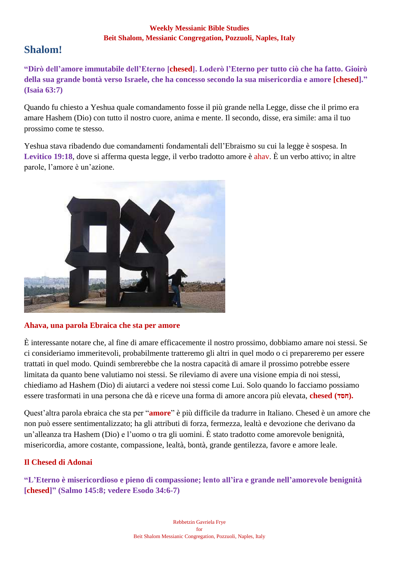# **Shalom!**

**"Dirò dell'amore immutabile dell'Eterno [chesed]. Loderò l'Eterno per tutto ciò che ha fatto. Gioirò della sua grande bontà verso Israele, che ha concesso secondo la sua misericordia e amore [chesed]." (Isaia 63:7)**

Quando fu chiesto a Yeshua quale comandamento fosse il più grande nella Legge, disse che il primo era amare Hashem (Dio) con tutto il nostro cuore, anima e mente. Il secondo, disse, era simile: ama il tuo prossimo come te stesso.

Yeshua stava ribadendo due comandamenti fondamentali dell'Ebraismo su cui la legge è sospesa. In **Levitico 19:18**, dove si afferma questa legge, il verbo tradotto amore è ahav. È un verbo attivo; in altre parole, l'amore è un'azione.



# **Ahava, una parola Ebraica che sta per amore**

È interessante notare che, al fine di amare efficacemente il nostro prossimo, dobbiamo amare noi stessi. Se ci consideriamo immeritevoli, probabilmente tratteremo gli altri in quel modo o ci prepareremo per essere trattati in quel modo. Quindi sembrerebbe che la nostra capacità di amare il prossimo potrebbe essere limitata da quanto bene valutiamo noi stessi. Se rileviamo di avere una visione empia di noi stessi, chiediamo ad Hashem (Dio) di aiutarci a vedere noi stessi come Lui. Solo quando lo facciamo possiamo essere trasformati in una persona che dà e riceve una forma di amore ancora più elevata, **chesed (חסד).** 

Quest'altra parola ebraica che sta per "**amore**" è più difficile da tradurre in Italiano. Chesed è un amore che non può essere sentimentalizzato; ha gli attributi di forza, fermezza, lealtà e devozione che derivano da un'alleanza tra Hashem (Dio) e l'uomo o tra gli uomini. È stato tradotto come amorevole benignità, misericordia, amore costante, compassione, lealtà, bontà, grande gentilezza, favore e amore leale.

# **Il Chesed di Adonai**

**"L'Eterno è misericordioso e pieno di compassione; lento all'ira e grande nell'amorevole benignità [chesed]" (Salmo 145:8; vedere Esodo 34:6-7)**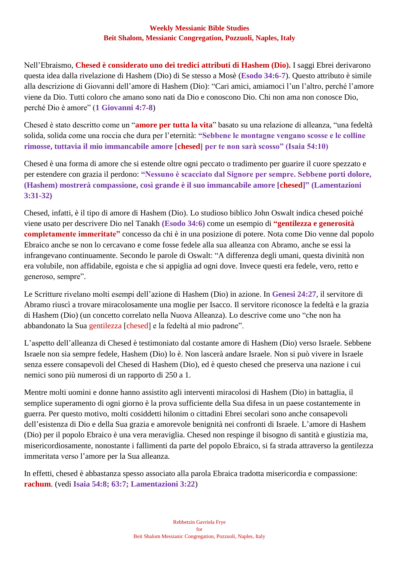Nell'Ebraismo, **Chesed è considerato uno dei tredici attributi di Hashem (Dio).** I saggi Ebrei derivarono questa idea dalla rivelazione di Hashem (Dio) di Se stesso a Mosè (**Esodo 34:6-7**). Questo attributo è simile alla descrizione di Giovanni dell'amore di Hashem (Dio): "Cari amici, amiamoci l'un l'altro, perché l'amore viene da Dio. Tutti coloro che amano sono nati da Dio e conoscono Dio. Chi non ama non conosce Dio, perché Dio è amore" (**1 Giovanni 4:7-8**)

Chesed è stato descritto come un "**amore per tutta la vita**" basato su una relazione di alleanza, "una fedeltà solida, solida come una roccia che dura per l'eternità: **"Sebbene le montagne vengano scosse e le colline rimosse, tuttavia il mio immancabile amore [chesed] per te non sarà scosso" (Isaia 54:10)**

Chesed è una forma di amore che si estende oltre ogni peccato o tradimento per guarire il cuore spezzato e per estendere con grazia il perdono: **"Nessuno è scacciato dal Signore per sempre. Sebbene porti dolore, (Hashem) mostrerà compassione, così grande è il suo immancabile amore [chesed]" (Lamentazioni 3:31-32)**

Chesed, infatti, è il tipo di amore di Hashem (Dio). Lo studioso biblico John Oswalt indica chesed poiché viene usato per descrivere Dio nel Tanakh **(Esodo 34:6)** come un esempio di **"gentilezza e generosità completamente immeritate"** concesso da chi è in una posizione di potere. Nota come Dio venne dal popolo Ebraico anche se non lo cercavano e come fosse fedele alla sua alleanza con Abramo, anche se essi la infrangevano continuamente. Secondo le parole di Oswalt: "A differenza degli umani, questa divinità non era volubile, non affidabile, egoista e che si appiglia ad ogni dove. Invece questi era fedele, vero, retto e generoso, sempre".

Le Scritture rivelano molti esempi dell'azione di Hashem (Dio) in azione. In **Genesi 24:27**, il servitore di Abramo riuscì a trovare miracolosamente una moglie per Isacco. Il servitore riconosce la fedeltà e la grazia di Hashem (Dio) (un concetto correlato nella Nuova Alleanza). Lo descrive come uno "che non ha abbandonato la Sua gentilezza [chesed] e la fedeltà al mio padrone".

L'aspetto dell'alleanza di Chesed è testimoniato dal costante amore di Hashem (Dio) verso Israele. Sebbene Israele non sia sempre fedele, Hashem (Dio) lo è. Non lascerà andare Israele. Non si può vivere in Israele senza essere consapevoli del Chesed di Hashem (Dio), ed è questo chesed che preserva una nazione i cui nemici sono più numerosi di un rapporto di 250 a 1.

Mentre molti uomini e donne hanno assistito agli interventi miracolosi di Hashem (Dio) in battaglia, il semplice superamento di ogni giorno è la prova sufficiente della Sua difesa in un paese costantemente in guerra. Per questo motivo, molti cosiddetti hilonim o cittadini Ebrei secolari sono anche consapevoli dell'esistenza di Dio e della Sua grazia e amorevole benignità nei confronti di Israele. L'amore di Hashem (Dio) per il popolo Ebraico è una vera meraviglia. Chesed non respinge il bisogno di santità e giustizia ma, misericordiosamente, nonostante i fallimenti da parte del popolo Ebraico, si fa strada attraverso la gentilezza immeritata verso l'amore per la Sua alleanza.

In effetti, chesed è abbastanza spesso associato alla parola Ebraica tradotta misericordia e compassione: **rachum**. (vedi **Isaia 54:8; 63:7; Lamentazioni 3:22**)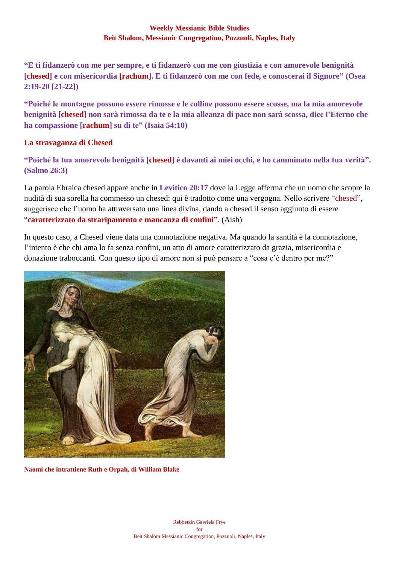**"E ti fidanzerò con me per sempre, e ti fidanzerò con me con giustizia e con amorevole benignità [chesed] e con misericordia [rachum]. E ti fidanzerò con me con fede, e conoscerai il Signore" (Osea 2:19-20 [21-22])**

**"Poiché le montagne possono essere rimosse e le colline possono essere scosse, ma la mia amorevole benignità [chesed] non sarà rimossa da te e la mia alleanza di pace non sarà scossa, dice l'Eterno che ha compassione [rachum] su di te" (Isaia 54:10)**

## **La stravaganza di Chesed**

**"Poiché la tua amorevole benignità [chesed] è davanti ai miei occhi, e ho camminato nella tua verità". (Salmo 26:3)**

La parola Ebraica chesed appare anche in **Levitico 20:17** dove la Legge afferma che un uomo che scopre la nudità di sua sorella ha commesso un chesed: qui è tradotto come una vergogna. Nello scrivere "chesed", suggerisce che l'uomo ha attraversato una linea divina, dando a chesed il senso aggiunto di essere "**caratterizzato da straripamento e mancanza di confini**". (Aish)

In questo caso, a Chesed viene data una connotazione negativa. Ma quando la santità è la connotazione, l'intento è che chi ama lo fa senza confini, un atto di amore caratterizzato da grazia, misericordia e donazione traboccanti. Con questo tipo di amore non si può pensare a "cosa c'è dentro per me?"



**Naomi che intrattiene Ruth e Orpah, di William Blake**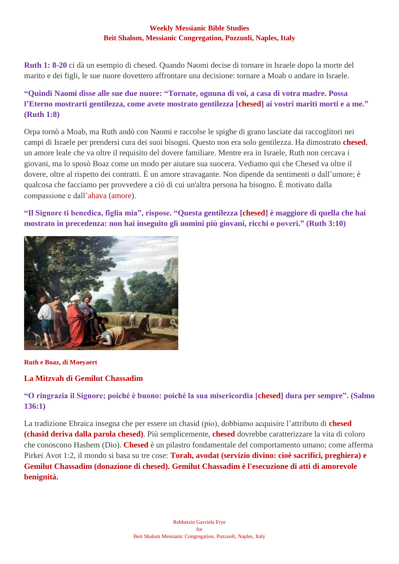**Ruth 1: 8-20** ci dà un esempio di chesed. Quando Naomi decise di tornare in Israele dopo la morte del marito e dei figli, le sue nuore dovettero affrontare una decisione: tornare a Moab o andare in Israele.

# **"Quindi Naomi disse alle sue due nuore: "Tornate, ognuna di voi, a casa di votra madre. Possa l'Eterno mostrarti gentilezza, come avete mostrato gentilezza [chesed] ai vostri mariti morti e a me." (Ruth 1:8)**

Orpa tornò a Moab, ma Ruth andò con Naomi e raccolse le spighe di grano lasciate dai raccoglitori nei campi di Israele per prendersi cura dei suoi bisogni. Questo non era solo gentilezza. Ha dimostrato **chesed**, un amore leale che va oltre il requisito del dovere familiare. Mentre era in Israele, Ruth non cercava i giovani, ma lo sposò Boaz come un modo per aiutare sua suocera. Vediamo qui che Chesed va oltre il dovere, oltre al rispetto dei contratti. È un amore stravagante. Non dipende da sentimenti o dall'umore; è qualcosa che facciamo per provvedere a ciò di cui un'altra persona ha bisogno. È motivato dalla compassione e dall'ahava (amore).

**"Il Signore ti benedica, figlia mia", rispose. "Questa gentilezza [chesed] è maggiore di quella che hai mostrato in precedenza: non hai inseguito gli uomini più giovani, ricchi o poveri." (Ruth 3:10)**



**Ruth e Boaz, di Moeyaert**

# **La Mitzvah di Gemilut Chassadim**

**"O ringrazia il Signore; poiché è buono: poiché la sua misericordia [chesed] dura per sempre". (Salmo 136:1)**

La tradizione Ebraica insegna che per essere un chasid (pio), dobbiamo acquisire l'attributo di **chesed (chasid deriva dalla parola chesed)**. Più semplicemente, **chesed** dovrebbe caratterizzare la vita di coloro che conoscono Hashem (Dio). **Chesed** è un pilastro fondamentale del comportamento umano; come afferma Pirkei Avot 1:2, il mondo si basa su tre cose: **Torah, avodat (servizio divino: cioè sacrifici, preghiera) e Gemilut Chassadim (donazione di chesed). Gemilut Chassadim è l'esecuzione di atti di amorevole benignità.**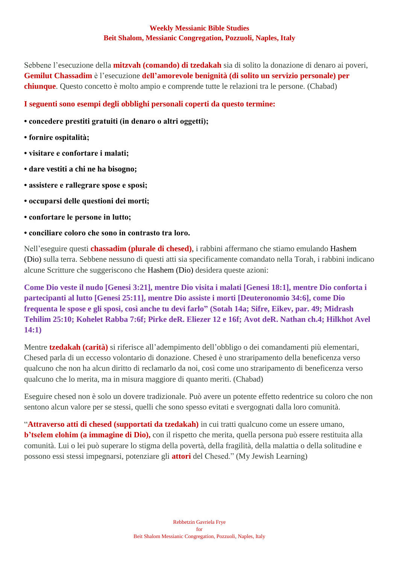Sebbene l'esecuzione della **mitzvah (comando) di tzedakah** sia di solito la donazione di denaro ai poveri, **Gemilut Chassadim** è l'esecuzione **dell'amorevole benignità (di solito un servizio personale) per chiunque**. Questo concetto è molto ampio e comprende tutte le relazioni tra le persone. (Chabad)

## **I seguenti sono esempi degli obblighi personali coperti da questo termine:**

- **concedere prestiti gratuiti (in denaro o altri oggetti);**
- **fornire ospitalità;**
- **visitare e confortare i malati;**
- **dare vestiti a chi ne ha bisogno;**
- **assistere e rallegrare spose e sposi;**
- **occuparsi delle questioni dei morti;**
- **confortare le persone in lutto;**
- **conciliare coloro che sono in contrasto tra loro.**

Nell'eseguire questi **chassadim (plurale di chesed)**, i rabbini affermano che stiamo emulando Hashem (Dio) sulla terra. Sebbene nessuno di questi atti sia specificamente comandato nella Torah, i rabbini indicano alcune Scritture che suggeriscono che Hashem (Dio) desidera queste azioni:

**Come Dio veste il nudo [Genesi 3:21], mentre Dio visita i malati [Genesi 18:1], mentre Dio conforta i partecipanti al lutto [Genesi 25:11], mentre Dio assiste i morti [Deuteronomio 34:6], come Dio frequenta le spose e gli sposi, così anche tu devi farlo" (Sotah 14a; Sifre, Eikev, par. 49; Midrash Tehilim 25:10; Kohelet Rabba 7:6f; Pirke deR. Eliezer 12 e 16f; Avot deR. Nathan ch.4; Hilkhot Avel 14:1)**

Mentre **tzedakah (carità)** si riferisce all'adempimento dell'obbligo o dei comandamenti più elementari, Chesed parla di un eccesso volontario di donazione. Chesed è uno straripamento della beneficenza verso qualcuno che non ha alcun diritto di reclamarlo da noi, così come uno straripamento di beneficenza verso qualcuno che lo merita, ma in misura maggiore di quanto meriti. (Chabad)

Eseguire chesed non è solo un dovere tradizionale. Può avere un potente effetto redentrice su coloro che non sentono alcun valore per se stessi, quelli che sono spesso evitati e svergognati dalla loro comunità.

"**Attraverso atti di chesed (supportati da tzedakah)** in cui tratti qualcuno come un essere umano, **b'tselem elohim (a immagine di Dio),** con il rispetto che merita, quella persona può essere restituita alla comunità. Lui o lei può superare lo stigma della povertà, della fragilità, della malattia o della solitudine e possono essi stessi impegnarsi, potenziare gli **attori** del Chesed." (My Jewish Learning)